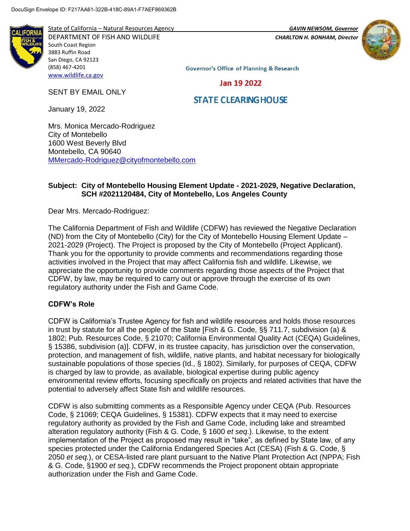**IFORI** 

State of California – Natural Resources Agency *GAVIN NEWSOM, Governor*



DEPARTMENT OF FISH AND WILDLIFE *CHARLTON H. BONHAM, Director*  South Coast Region 3883 Ruffin Road San Diego, CA 92123 (858) 467-4201 [www.wildlife.ca.gov](http://www.wildlife.ca.gov/)

**Governor's Office of Planning & Research** 

Jan 19 2022

#### SENT BY EMAIL ONLY

# **STATE CLEARING HOUSE**

January 19, 2022

Mrs. Monica Mercado-Rodriguez City of Montebello 1600 West Beverly Blvd Montebello, CA 90640 [MMercado-Rodriguez@cityofmontebello.com](mailto:MMercado-Rodriguez@cityofmontebello.com)

#### **Subject: City of Montebello Housing Element Update - 2021-2029, Negative Declaration, SCH #2021120484, City of Montebello, Los Angeles County**

Dear Mrs. Mercado-Rodriguez:

The California Department of Fish and Wildlife (CDFW) has reviewed the Negative Declaration (ND) from the City of Montebello (City) for the City of Montebello Housing Element Update – 2021-2029 (Project). The Project is proposed by the City of Montebello (Project Applicant). Thank you for the opportunity to provide comments and recommendations regarding those activities involved in the Project that may affect California fish and wildlife. Likewise, we appreciate the opportunity to provide comments regarding those aspects of the Project that CDFW, by law, may be required to carry out or approve through the exercise of its own regulatory authority under the Fish and Game Code.

### **CDFW's Role**

CDFW is California's Trustee Agency for fish and wildlife resources and holds those resources in trust by statute for all the people of the State [Fish & G. Code, §§ 711.7, subdivision (a) & 1802; Pub. Resources Code, § 21070; California Environmental Quality Act (CEQA) Guidelines, § 15386, subdivision (a)]. CDFW, in its trustee capacity, has jurisdiction over the conservation, protection, and management of fish, wildlife, native plants, and habitat necessary for biologically sustainable populations of those species (Id., § 1802). Similarly, for purposes of CEQA, CDFW is charged by law to provide, as available, biological expertise during public agency environmental review efforts, focusing specifically on projects and related activities that have the potential to adversely affect State fish and wildlife resources.

CDFW is also submitting comments as a Responsible Agency under CEQA (Pub. Resources Code, § 21069; CEQA Guidelines, § 15381). CDFW expects that it may need to exercise regulatory authority as provided by the Fish and Game Code, including lake and streambed alteration regulatory authority (Fish & G. Code, § 1600 *et seq*.). Likewise, to the extent implementation of the Project as proposed may result in "take", as defined by State law, of any species protected under the California Endangered Species Act (CESA) (Fish & G. Code, § 2050 *et seq.*), or CESA-listed rare plant pursuant to the Native Plant Protection Act (NPPA; Fish & G. Code, §1900 *et seq.*), CDFW recommends the Project proponent obtain appropriate authorization under the Fish and Game Code.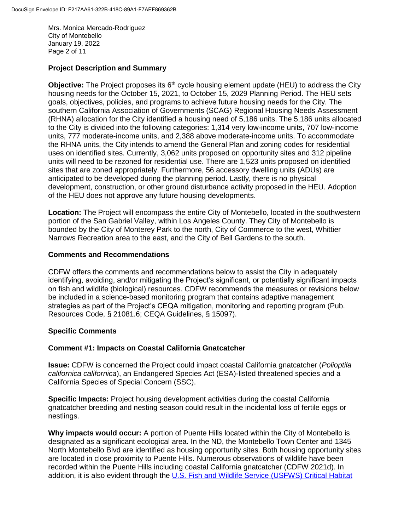Mrs. Monica Mercado-Rodriguez City of Montebello January 19, 2022 Page 2 of 11

## **Project Description and Summary**

**Objective:** The Project proposes its 6<sup>th</sup> cycle housing element update (HEU) to address the City housing needs for the October 15, 2021, to October 15, 2029 Planning Period. The HEU sets goals, objectives, policies, and programs to achieve future housing needs for the City. The southern California Association of Governments (SCAG) Regional Housing Needs Assessment (RHNA) allocation for the City identified a housing need of 5,186 units. The 5,186 units allocated to the City is divided into the following categories: 1,314 very low-income units, 707 low-income units, 777 moderate-income units, and 2,388 above moderate-income units. To accommodate the RHNA units, the City intends to amend the General Plan and zoning codes for residential uses on identified sites. Currently, 3,062 units proposed on opportunity sites and 312 pipeline units will need to be rezoned for residential use. There are 1,523 units proposed on identified sites that are zoned appropriately. Furthermore, 56 accessory dwelling units (ADUs) are anticipated to be developed during the planning period. Lastly, there is no physical development, construction, or other ground disturbance activity proposed in the HEU. Adoption of the HEU does not approve any future housing developments.

**Location:** The Project will encompass the entire City of Montebello, located in the southwestern portion of the San Gabriel Valley, within Los Angeles County. They City of Montebello is bounded by the City of Monterey Park to the north, City of Commerce to the west, Whittier Narrows Recreation area to the east, and the City of Bell Gardens to the south.

### **Comments and Recommendations**

CDFW offers the comments and recommendations below to assist the City in adequately identifying, avoiding, and/or mitigating the Project's significant, or potentially significant impacts on fish and wildlife (biological) resources. CDFW recommends the measures or revisions below be included in a science-based monitoring program that contains adaptive management strategies as part of the Project's CEQA mitigation, monitoring and reporting program (Pub. Resources Code, § 21081.6; CEQA Guidelines, § 15097).

### **Specific Comments**

### **Comment #1: Impacts on Coastal California Gnatcatcher**

**Issue:** CDFW is concerned the Project could impact coastal California gnatcatcher (*Polioptila californica californica*), an Endangered Species Act (ESA)-listed threatened species and a California Species of Special Concern (SSC).

**Specific Impacts:** Project housing development activities during the coastal California gnatcatcher breeding and nesting season could result in the incidental loss of fertile eggs or nestlings.

**Why impacts would occur:** A portion of Puente Hills located within the City of Montebello is designated as a significant ecological area. In the ND, the Montebello Town Center and 1345 North Montebello Blvd are identified as housing opportunity sites. Both housing opportunity sites are located in close proximity to Puente Hills. Numerous observations of wildlife have been recorded within the Puente Hills including coastal California gnatcatcher (CDFW 2021d). In addition, it is also evident through the U.S. [Fish and Wildlife Service \(USFWS\) Critical Habitat](https://www.arcgis.com/home/item.html?id=2c2453ee613f47cdae9dbd0ed7939409)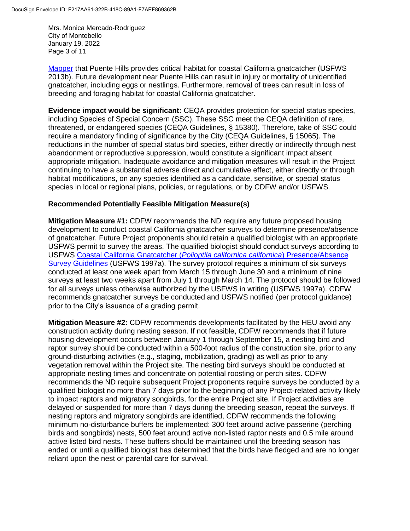Mrs. Monica Mercado-Rodriguez City of Montebello January 19, 2022 Page 3 of 11

[Mapper](https://www.arcgis.com/home/item.html?id=2c2453ee613f47cdae9dbd0ed7939409) that Puente Hills provides critical habitat for coastal California gnatcatcher (USFWS 2013b). Future development near Puente Hills can result in injury or mortality of unidentified gnatcatcher, including eggs or nestlings. Furthermore, removal of trees can result in loss of breeding and foraging habitat for coastal California gnatcatcher.

**Evidence impact would be significant:** CEQA provides protection for special status species, including Species of Special Concern (SSC). These SSC meet the CEQA definition of rare, threatened, or endangered species (CEQA Guidelines, § 15380). Therefore, take of SSC could require a mandatory finding of significance by the City (CEQA Guidelines, § 15065). The reductions in the number of special status bird species, either directly or indirectly through nest abandonment or reproductive suppression, would constitute a significant impact absent appropriate mitigation. Inadequate avoidance and mitigation measures will result in the Project continuing to have a substantial adverse direct and cumulative effect, either directly or through habitat modifications, on any species identified as a candidate, sensitive, or special status species in local or regional plans, policies, or regulations, or by CDFW and/or USFWS.

#### **Recommended Potentially Feasible Mitigation Measure(s)**

**Mitigation Measure #1:** CDFW recommends the ND require any future proposed housing development to conduct coastal California gnatcatcher surveys to determine presence/absence of gnatcatcher. Future Project proponents should retain a qualified biologist with an appropriate USFWS permit to survey the areas. The qualified biologist should conduct surveys according to USFWS [Coastal California Gnatcatcher \(](https://www.fws.gov/ventura/docs/species/protocols/cagn/coastal-gnatcatcher_survey-guidelines.pdf)*Polioptila californica californica*) Presence/Absence [Survey Guidelines](https://www.fws.gov/ventura/docs/species/protocols/cagn/coastal-gnatcatcher_survey-guidelines.pdf) (USFWS 1997a). The survey protocol requires a minimum of six surveys conducted at least one week apart from March 15 through June 30 and a minimum of nine surveys at least two weeks apart from July 1 through March 14. The protocol should be followed for all surveys unless otherwise authorized by the USFWS in writing (USFWS 1997a). CDFW recommends gnatcatcher surveys be conducted and USFWS notified (per protocol guidance) prior to the City's issuance of a grading permit.

**Mitigation Measure #2:** CDFW recommends developments facilitated by the HEU avoid any construction activity during nesting season. If not feasible, CDFW recommends that if future housing development occurs between January 1 through September 15, a nesting bird and raptor survey should be conducted within a 500-foot radius of the construction site, prior to any ground-disturbing activities (e.g., staging, mobilization, grading) as well as prior to any vegetation removal within the Project site. The nesting bird surveys should be conducted at appropriate nesting times and concentrate on potential roosting or perch sites. CDFW recommends the ND require subsequent Project proponents require surveys be conducted by a qualified biologist no more than 7 days prior to the beginning of any Project-related activity likely to impact raptors and migratory songbirds, for the entire Project site. If Project activities are delayed or suspended for more than 7 days during the breeding season, repeat the surveys. If nesting raptors and migratory songbirds are identified, CDFW recommends the following minimum no-disturbance buffers be implemented: 300 feet around active passerine (perching birds and songbirds) nests, 500 feet around active non-listed raptor nests and 0.5 mile around active listed bird nests. These buffers should be maintained until the breeding season has ended or until a qualified biologist has determined that the birds have fledged and are no longer reliant upon the nest or parental care for survival.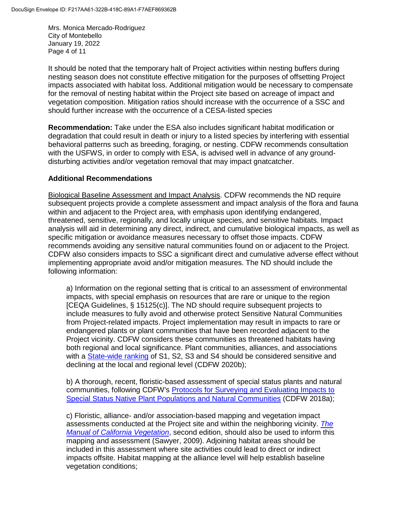Mrs. Monica Mercado-Rodriguez City of Montebello January 19, 2022 Page 4 of 11

It should be noted that the temporary halt of Project activities within nesting buffers during nesting season does not constitute effective mitigation for the purposes of offsetting Project impacts associated with habitat loss. Additional mitigation would be necessary to compensate for the removal of nesting habitat within the Project site based on acreage of impact and vegetation composition. Mitigation ratios should increase with the occurrence of a SSC and should further increase with the occurrence of a CESA-listed species

**Recommendation:** Take under the ESA also includes significant habitat modification or degradation that could result in death or injury to a listed species by interfering with essential behavioral patterns such as breeding, foraging, or nesting. CDFW recommends consultation with the USFWS, in order to comply with ESA, is advised well in advance of any grounddisturbing activities and/or vegetation removal that may impact gnatcatcher.

#### **Additional Recommendations**

Biological Baseline Assessment and Impact Analysis. CDFW recommends the ND require subsequent projects provide a complete assessment and impact analysis of the flora and fauna within and adjacent to the Project area, with emphasis upon identifying endangered, threatened, sensitive, regionally, and locally unique species, and sensitive habitats. Impact analysis will aid in determining any direct, indirect, and cumulative biological impacts, as well as specific mitigation or avoidance measures necessary to offset those impacts. CDFW recommends avoiding any sensitive natural communities found on or adjacent to the Project. CDFW also considers impacts to SSC a significant direct and cumulative adverse effect without implementing appropriate avoid and/or mitigation measures. The ND should include the following information:

a) Information on the regional setting that is critical to an assessment of environmental impacts, with special emphasis on resources that are rare or unique to the region [CEQA Guidelines, § 15125(c)]. The ND should require subsequent projects to include measures to fully avoid and otherwise protect Sensitive Natural Communities from Project-related impacts. Project implementation may result in impacts to rare or endangered plants or plant communities that have been recorded adjacent to the Project vicinity. CDFW considers these communities as threatened habitats having both regional and local significance. Plant communities, alliances, and associations with a [State-wide ranking](https://wildlife.ca.gov/Data/VegCAMP/Natural-Communities#sensitive%20natural%20communities) of S1, S2, S3 and S4 should be considered sensitive and declining at the local and regional level (CDFW 2020b);

b) A thorough, recent, floristic-based assessment of special status plants and natural communities, following CDFW's [Protocols for Surveying and Evaluating Impacts to](https://nrm.dfg.ca.gov/FileHandler.ashx?DocumentID=18959&inline) [Special Status Native Plant Populations and Natural Communities](https://nrm.dfg.ca.gov/FileHandler.ashx?DocumentID=18959&inline) (CDFW 2018a);

c) Floristic, alliance- and/or association-based mapping and vegetation impact assessments conducted at the Project site and within the neighboring vicinity. *[The](https://vegetation.cnps.org/) [Manual of California Vegetation](https://vegetation.cnps.org/)*, second edition, should also be used to inform this mapping and assessment (Sawyer, 2009). Adjoining habitat areas should be included in this assessment where site activities could lead to direct or indirect impacts offsite. Habitat mapping at the alliance level will help establish baseline vegetation conditions;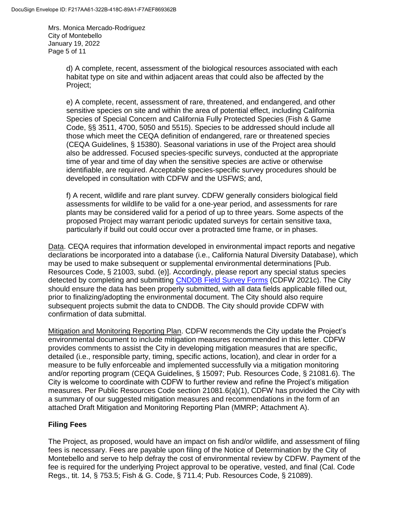Mrs. Monica Mercado-Rodriguez City of Montebello January 19, 2022 Page 5 of 11

> d) A complete, recent, assessment of the biological resources associated with each habitat type on site and within adjacent areas that could also be affected by the Project;

> e) A complete, recent, assessment of rare, threatened, and endangered, and other sensitive species on site and within the area of potential effect, including California Species of Special Concern and California Fully Protected Species (Fish & Game Code, §§ 3511, 4700, 5050 and 5515). Species to be addressed should include all those which meet the CEQA definition of endangered, rare or threatened species (CEQA Guidelines, § 15380). Seasonal variations in use of the Project area should also be addressed. Focused species-specific surveys, conducted at the appropriate time of year and time of day when the sensitive species are active or otherwise identifiable, are required. Acceptable species-specific survey procedures should be developed in consultation with CDFW and the USFWS; and,

f) A recent, wildlife and rare plant survey. CDFW generally considers biological field assessments for wildlife to be valid for a one-year period, and assessments for rare plants may be considered valid for a period of up to three years. Some aspects of the proposed Project may warrant periodic updated surveys for certain sensitive taxa, particularly if build out could occur over a protracted time frame, or in phases.

Data. CEQA requires that information developed in environmental impact reports and negative declarations be incorporated into a database (i.e., California Natural Diversity Database), which may be used to make subsequent or supplemental environmental determinations [Pub. Resources Code, § 21003, subd. (e)]. Accordingly, please report any special status species detected by completing and submitting [CNDDB Field Survey Forms](https://wildlife.ca.gov/Data/CNDDB/Submitting-Data) (CDFW 2021c). The City should ensure the data has been properly submitted, with all data fields applicable filled out, prior to finalizing/adopting the environmental document. The City should also require subsequent projects submit the data to CNDDB. The City should provide CDFW with confirmation of data submittal.

Mitigation and Monitoring Reporting Plan. CDFW recommends the City update the Project's environmental document to include mitigation measures recommended in this letter. CDFW provides comments to assist the City in developing mitigation measures that are specific, detailed (i.e., responsible party, timing, specific actions, location), and clear in order for a measure to be fully enforceable and implemented successfully via a mitigation monitoring and/or reporting program (CEQA Guidelines, § 15097; Pub. Resources Code, § 21081.6). The City is welcome to coordinate with CDFW to further review and refine the Project's mitigation measures. Per Public Resources Code section 21081.6(a)(1), CDFW has provided the City with a summary of our suggested mitigation measures and recommendations in the form of an attached Draft Mitigation and Monitoring Reporting Plan (MMRP; Attachment A).

# **Filing Fees**

The Project, as proposed, would have an impact on fish and/or wildlife, and assessment of filing fees is necessary. Fees are payable upon filing of the Notice of Determination by the City of Montebello and serve to help defray the cost of environmental review by CDFW. Payment of the fee is required for the underlying Project approval to be operative, vested, and final (Cal. Code Regs., tit. 14, § 753.5; Fish & G. Code, § 711.4; Pub. Resources Code, § 21089).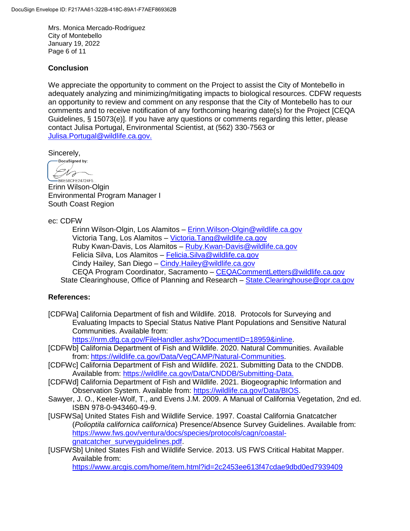Mrs. Monica Mercado-Rodriguez City of Montebello January 19, 2022 Page 6 of 11

#### **Conclusion**

We appreciate the opportunity to comment on the Project to assist the City of Montebello in adequately analyzing and minimizing/mitigating impacts to biological resources. CDFW requests an opportunity to review and comment on any response that the City of Montebello has to our comments and to receive notification of any forthcoming hearing date(s) for the Project [CEQA Guidelines, § 15073(e)]. If you have any questions or comments regarding this letter, please contact Julisa Portugal, Environmental Scientist, at (562) 330-7563 or [Julisa.Portugal@wildlife.ca.gov.](mailto:Julisa.Portugal@wildlife.ca.gov)

Sincerely,

-DocuSigned by:  $Ch_0$ -B6E58CFE24724F5...

Erinn Wilson-Olgin Environmental Program Manager I South Coast Region

ec: CDFW

Erinn Wilson-Olgin, Los Alamitos – [Erinn.Wilson-Olgin@wildlife.ca.gov](mailto:Erinn.Wilson-Olgin@wildlife.ca.gov) Victoria Tang, Los Alamitos – [Victoria.Tang@wildlife.ca.gov](mailto:Victoria.Tang@wildlife.ca.gov) Ruby Kwan-Davis, Los Alamitos – Ruby. Kwan-Davis @wildlife.ca.gov Felicia Silva, Los Alamitos – [Felicia.Silva@wildlife.ca.gov](mailto:Felicia.Silva@wildlife.ca.gov) Cindy Hailey, San Diego – [Cindy.Hailey@wildlife.ca.gov](mailto:Cindy.Hailey@wildlife.ca.gov) CEQA Program Coordinator, Sacramento – [CEQACommentLetters@wildlife.ca.gov](mailto:CEQACommentLetters@wildlife.ca.gov)  State Clearinghouse, Office of Planning and Research – [State.Clearinghouse@opr.ca.gov](mailto:State.Clearinghouse@opr.ca.gov)

#### **References:**

[CDFWa] California Department of fish and Wildlife. 2018. Protocols for Surveying and Evaluating Impacts to Special Status Native Plant Populations and Sensitive Natural Communities. Available from:

[https://nrm.dfg.ca.gov/FileHandler.ashx?DocumentID=18959&inline.](https://nrm.dfg.ca.gov/FileHandler.ashx?DocumentID=18959&inline)

- [CDFWb] California Department of Fish and Wildlife. 2020. Natural Communities. Available from: [https://wildlife.ca.gov/Data/VegCAMP/Natural-Communities.](https://wildlife.ca.gov/Data/VegCAMP/Natural-Communities)
- [CDFWc] California Department of Fish and Wildlife. 2021. Submitting Data to the CNDDB. Available from: [https://wildlife.ca.gov/Data/CNDDB/Submitting-Data.](https://wildlife.ca.gov/Data/CNDDB/Submitting-Data)
- [CDFWd] California Department of Fish and Wildlife. 2021. Biogeographic Information and Observation System. Available from: [https://wildlife.ca.gov/Data/BIOS.](https://wildlife.ca.gov/Data/BIOS)
- Sawyer, J. O., Keeler-Wolf, T., and Evens J.M. 2009. A Manual of California Vegetation, 2nd ed. ISBN 978-0-943460-49-9.
- [USFWSa] United States Fish and Wildlife Service. 1997. Coastal California Gnatcatcher (*Polioptila californica californica*) Presence/Absence Survey Guidelines. Available from: [https://www.fws.gov/ventura/docs/species/protocols/cagn/coastal](https://www.fws.gov/ventura/docs/species/protocols/cagn/coastal-gnatcatcher_surveyguidelines.pdf)[gnatcatcher\\_surveyguidelines.pdf.](https://www.fws.gov/ventura/docs/species/protocols/cagn/coastal-gnatcatcher_surveyguidelines.pdf)
- [USFWSb] United States Fish and Wildlife Service. 2013. US FWS Critical Habitat Mapper. Available from: <https://www.arcgis.com/home/item.html?id=2c2453ee613f47cdae9dbd0ed7939409>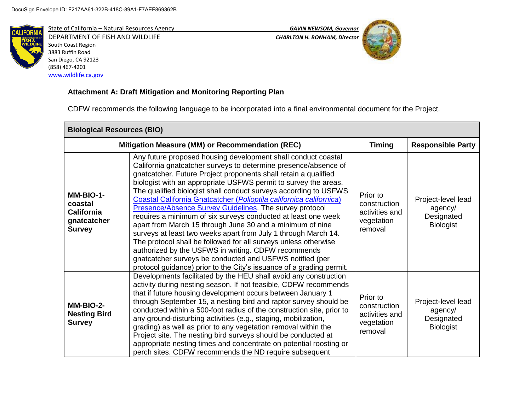

State of California – Natural Resources Agency *GAVIN NEWSOM, Governor* DEPARTMENT OF FISH AND WILDLIFE *CHARLTON H. BONHAM, Director*  South Coast Region 3883 Ruffin Road San Diego, CA 92123 (858) 467-4201 [www.wildlife.ca.gov](http://www.wildlife.ca.gov/)



# **Attachment A: Draft Mitigation and Monitoring Reporting Plan**

CDFW recommends the following language to be incorporated into a final environmental document for the Project.

| <b>Biological Resources (BIO)</b>                                         |                                                                                                                                                                                                                                                                                                                                                                                                                                                                                                                                                                                                                                                                                                                                                                                                                                                                                                                                                    |                                                                     |                                                                 |
|---------------------------------------------------------------------------|----------------------------------------------------------------------------------------------------------------------------------------------------------------------------------------------------------------------------------------------------------------------------------------------------------------------------------------------------------------------------------------------------------------------------------------------------------------------------------------------------------------------------------------------------------------------------------------------------------------------------------------------------------------------------------------------------------------------------------------------------------------------------------------------------------------------------------------------------------------------------------------------------------------------------------------------------|---------------------------------------------------------------------|-----------------------------------------------------------------|
|                                                                           | Mitigation Measure (MM) or Recommendation (REC)                                                                                                                                                                                                                                                                                                                                                                                                                                                                                                                                                                                                                                                                                                                                                                                                                                                                                                    | <b>Timing</b>                                                       | <b>Responsible Party</b>                                        |
| MM-BIO-1-<br>coastal<br><b>California</b><br>gnatcatcher<br><b>Survey</b> | Any future proposed housing development shall conduct coastal<br>California gnatcatcher surveys to determine presence/absence of<br>gnatcatcher. Future Project proponents shall retain a qualified<br>biologist with an appropriate USFWS permit to survey the areas.<br>The qualified biologist shall conduct surveys according to USFWS<br>Coastal California Gnatcatcher (Polioptila californica californica)<br><b>Presence/Absence Survey Guidelines</b> . The survey protocol<br>requires a minimum of six surveys conducted at least one week<br>apart from March 15 through June 30 and a minimum of nine<br>surveys at least two weeks apart from July 1 through March 14.<br>The protocol shall be followed for all surveys unless otherwise<br>authorized by the USFWS in writing. CDFW recommends<br>gnatcatcher surveys be conducted and USFWS notified (per<br>protocol guidance) prior to the City's issuance of a grading permit. | Prior to<br>construction<br>activities and<br>vegetation<br>removal | Project-level lead<br>agency/<br>Designated<br><b>Biologist</b> |
| MM-BIO-2-<br><b>Nesting Bird</b><br><b>Survey</b>                         | Developments facilitated by the HEU shall avoid any construction<br>activity during nesting season. If not feasible, CDFW recommends<br>that if future housing development occurs between January 1<br>through September 15, a nesting bird and raptor survey should be<br>conducted within a 500-foot radius of the construction site, prior to<br>any ground-disturbing activities (e.g., staging, mobilization,<br>grading) as well as prior to any vegetation removal within the<br>Project site. The nesting bird surveys should be conducted at<br>appropriate nesting times and concentrate on potential roosting or<br>perch sites. CDFW recommends the ND require subsequent                                                                                                                                                                                                                                                              | Prior to<br>construction<br>activities and<br>vegetation<br>removal | Project-level lead<br>agency/<br>Designated<br><b>Biologist</b> |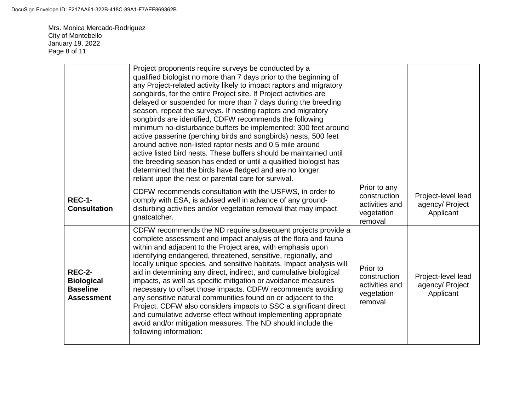Mrs. Monica Mercado-Rodriguez City of Montebello January 19, 2022 Page 8 of 11

|                                                                            | Project proponents require surveys be conducted by a<br>qualified biologist no more than 7 days prior to the beginning of<br>any Project-related activity likely to impact raptors and migratory<br>songbirds, for the entire Project site. If Project activities are<br>delayed or suspended for more than 7 days during the breeding<br>season, repeat the surveys. If nesting raptors and migratory<br>songbirds are identified, CDFW recommends the following<br>minimum no-disturbance buffers be implemented: 300 feet around<br>active passerine (perching birds and songbirds) nests, 500 feet<br>around active non-listed raptor nests and 0.5 mile around<br>active listed bird nests. These buffers should be maintained until<br>the breeding season has ended or until a qualified biologist has<br>determined that the birds have fledged and are no longer<br>reliant upon the nest or parental care for survival. |                                                                         |                                                    |
|----------------------------------------------------------------------------|-----------------------------------------------------------------------------------------------------------------------------------------------------------------------------------------------------------------------------------------------------------------------------------------------------------------------------------------------------------------------------------------------------------------------------------------------------------------------------------------------------------------------------------------------------------------------------------------------------------------------------------------------------------------------------------------------------------------------------------------------------------------------------------------------------------------------------------------------------------------------------------------------------------------------------------|-------------------------------------------------------------------------|----------------------------------------------------|
| <b>REC-1-</b><br><b>Consultation</b>                                       | CDFW recommends consultation with the USFWS, in order to<br>comply with ESA, is advised well in advance of any ground-<br>disturbing activities and/or vegetation removal that may impact<br>gnatcatcher.                                                                                                                                                                                                                                                                                                                                                                                                                                                                                                                                                                                                                                                                                                                         | Prior to any<br>construction<br>activities and<br>vegetation<br>removal | Project-level lead<br>agency/ Project<br>Applicant |
| <b>REC-2-</b><br><b>Biological</b><br><b>Baseline</b><br><b>Assessment</b> | CDFW recommends the ND require subsequent projects provide a<br>complete assessment and impact analysis of the flora and fauna<br>within and adjacent to the Project area, with emphasis upon<br>identifying endangered, threatened, sensitive, regionally, and<br>locally unique species, and sensitive habitats. Impact analysis will<br>aid in determining any direct, indirect, and cumulative biological<br>impacts, as well as specific mitigation or avoidance measures<br>necessary to offset those impacts. CDFW recommends avoiding<br>any sensitive natural communities found on or adjacent to the<br>Project. CDFW also considers impacts to SSC a significant direct<br>and cumulative adverse effect without implementing appropriate<br>avoid and/or mitigation measures. The ND should include the<br>following information:                                                                                     | Prior to<br>construction<br>activities and<br>vegetation<br>removal     | Project-level lead<br>agency/ Project<br>Applicant |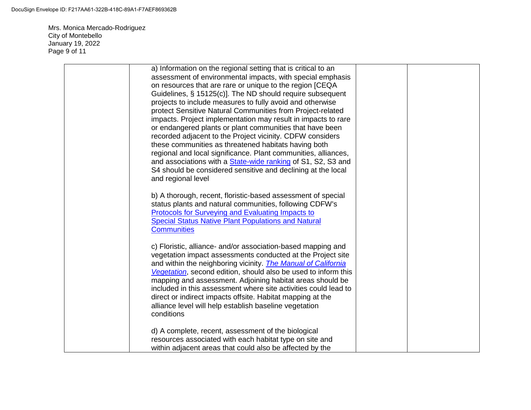Mrs. Monica Mercado-Rodriguez City of Montebello January 19, 2022 Page 9 of 11

| a) Information on the regional setting that is critical to an<br>assessment of environmental impacts, with special emphasis<br>on resources that are rare or unique to the region [CEQA<br>Guidelines, § 15125(c)]. The ND should require subsequent<br>projects to include measures to fully avoid and otherwise<br>protect Sensitive Natural Communities from Project-related<br>impacts. Project implementation may result in impacts to rare<br>or endangered plants or plant communities that have been<br>recorded adjacent to the Project vicinity. CDFW considers<br>these communities as threatened habitats having both<br>regional and local significance. Plant communities, alliances,<br>and associations with a <b>State-wide ranking of S1</b> , S2, S3 and<br>S4 should be considered sensitive and declining at the local |  |
|---------------------------------------------------------------------------------------------------------------------------------------------------------------------------------------------------------------------------------------------------------------------------------------------------------------------------------------------------------------------------------------------------------------------------------------------------------------------------------------------------------------------------------------------------------------------------------------------------------------------------------------------------------------------------------------------------------------------------------------------------------------------------------------------------------------------------------------------|--|
| and regional level<br>b) A thorough, recent, floristic-based assessment of special<br>status plants and natural communities, following CDFW's<br>Protocols for Surveying and Evaluating Impacts to<br><b>Special Status Native Plant Populations and Natural</b><br><b>Communities</b>                                                                                                                                                                                                                                                                                                                                                                                                                                                                                                                                                      |  |
| c) Floristic, alliance- and/or association-based mapping and<br>vegetation impact assessments conducted at the Project site<br>and within the neighboring vicinity. <i>The Manual of California</i><br>Vegetation, second edition, should also be used to inform this<br>mapping and assessment. Adjoining habitat areas should be<br>included in this assessment where site activities could lead to<br>direct or indirect impacts offsite. Habitat mapping at the<br>alliance level will help establish baseline vegetation<br>conditions                                                                                                                                                                                                                                                                                                 |  |
| d) A complete, recent, assessment of the biological<br>resources associated with each habitat type on site and<br>within adjacent areas that could also be affected by the                                                                                                                                                                                                                                                                                                                                                                                                                                                                                                                                                                                                                                                                  |  |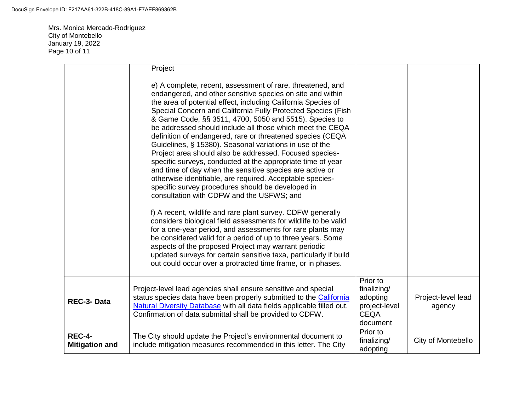Mrs. Monica Mercado-Rodriguez City of Montebello January 19, 2022 Page 10 of 11

|                                        | Project                                                                                                                                                                                                                                                                                                                                                                                                                                                                                                                                                                                                                                                                                                                                                                                                                                                                                                                                                                                                                                                                                                                                                                                                                                                                                                                   |                                                                                 |                              |
|----------------------------------------|---------------------------------------------------------------------------------------------------------------------------------------------------------------------------------------------------------------------------------------------------------------------------------------------------------------------------------------------------------------------------------------------------------------------------------------------------------------------------------------------------------------------------------------------------------------------------------------------------------------------------------------------------------------------------------------------------------------------------------------------------------------------------------------------------------------------------------------------------------------------------------------------------------------------------------------------------------------------------------------------------------------------------------------------------------------------------------------------------------------------------------------------------------------------------------------------------------------------------------------------------------------------------------------------------------------------------|---------------------------------------------------------------------------------|------------------------------|
|                                        | e) A complete, recent, assessment of rare, threatened, and<br>endangered, and other sensitive species on site and within<br>the area of potential effect, including California Species of<br>Special Concern and California Fully Protected Species (Fish<br>& Game Code, §§ 3511, 4700, 5050 and 5515). Species to<br>be addressed should include all those which meet the CEQA<br>definition of endangered, rare or threatened species (CEQA<br>Guidelines, § 15380). Seasonal variations in use of the<br>Project area should also be addressed. Focused species-<br>specific surveys, conducted at the appropriate time of year<br>and time of day when the sensitive species are active or<br>otherwise identifiable, are required. Acceptable species-<br>specific survey procedures should be developed in<br>consultation with CDFW and the USFWS; and<br>f) A recent, wildlife and rare plant survey. CDFW generally<br>considers biological field assessments for wildlife to be valid<br>for a one-year period, and assessments for rare plants may<br>be considered valid for a period of up to three years. Some<br>aspects of the proposed Project may warrant periodic<br>updated surveys for certain sensitive taxa, particularly if build<br>out could occur over a protracted time frame, or in phases. |                                                                                 |                              |
| REC-3-Data                             | Project-level lead agencies shall ensure sensitive and special<br>status species data have been properly submitted to the California<br>Natural Diversity Database with all data fields applicable filled out.<br>Confirmation of data submittal shall be provided to CDFW.                                                                                                                                                                                                                                                                                                                                                                                                                                                                                                                                                                                                                                                                                                                                                                                                                                                                                                                                                                                                                                               | Prior to<br>finalizing/<br>adopting<br>project-level<br><b>CEQA</b><br>document | Project-level lead<br>agency |
| <b>REC-4-</b><br><b>Mitigation and</b> | The City should update the Project's environmental document to<br>include mitigation measures recommended in this letter. The City                                                                                                                                                                                                                                                                                                                                                                                                                                                                                                                                                                                                                                                                                                                                                                                                                                                                                                                                                                                                                                                                                                                                                                                        | Prior to<br>finalizing/<br>adopting                                             | City of Montebello           |